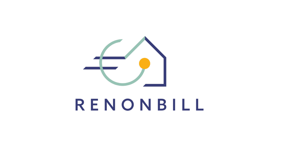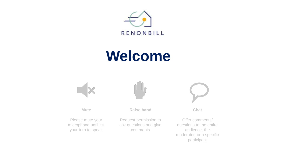

## **Welcome**



**Mute**

**Chat**

Offer comments/ questions to the entire audience, the moderator, or a specific participant

Please mute your microphone until it's your turn to speak

**Raise hand**

Request permission to ask questions and give comments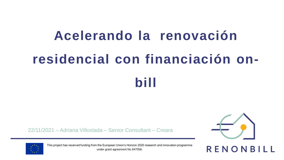# **Acelerando la renovación residencial con financiación on-**

**bill** 

22/11/2021 – Adriana Villoslada – Senior Consultant – Creara





This project has received funding from the European Union's Horizon 2020 research and innovation programme under grant agreement No 847056.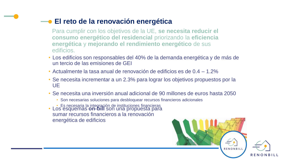#### **El reto de la renovación energética**

Para cumplir con los objetivos de la UE, **se necesita reducir el consumo energético del residencial** priorizando la **eficiencia energética** y **mejorando el rendimiento energético** de sus edificios.

- Los edificios son responsables del 40% de la demanda energética y de más de un tercio de las emisiones de GEI
- Actualmente la tasa anual de renovación de edificios es de 0.4 1.2%
- Se necesita incrementar a un 2.3% para lograr los objetivos propuestos por la UE
- Se necesita una inversión anual adicional de 90 millones de euros hasta 2050
	- Son necesarias soluciones para desbloquear recursos financieros adicionales
	- Es necesaria la integración de instituciones financieras
- Los esquemas **on-bill** son una propuesta para sumar recursos financieros a la renovación energética de edificios

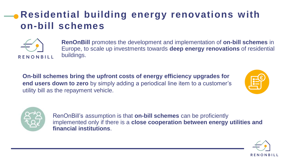### **Residential building energy renovations with on-bill schemes**



**RenOnBill** promotes the development and implementation of **on-bill schemes** in Europe, to scale up investments towards **deep energy renovations** of residential buildings.

**On-bill schemes bring the upfront costs of energy efficiency upgrades for end users down to zero** by simply adding a periodical line item to a customer's utility bill as the repayment vehicle.





RenOnBill's assumption is that **on-bill schemes** can be proficiently implemented only if there is a **close cooperation between energy utilities and financial institutions**.

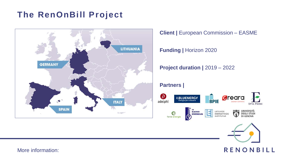#### **The RenOnBill Project**



**Client |** European Commission – EASME

**Funding | Horizon 2020** 

**Project duration |** 2019 – 2022

#### **Partners |**





More information: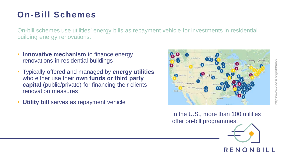#### **On-Bill Schemes**

On-bill schemes use utilities' energy bills as repayment vehicle for investments in residential building energy renovations.

- **Innovative mechanism** to finance energy renovations in residential buildings
- Typically offered and managed by **energy utilities**  who either use their **own funds or third party capital** (public/private) for financing their clients renovation measures
- **Utility bill** serves as repayment vehicle



In the U.S., more than 100 utilities offer on-bill programmes.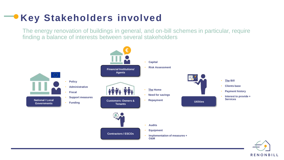#### **Key Stakeholders involved**

The energy renovation of buildings in general, and on-bill schemes in particular, require finding a balance of interests between several stakeholders

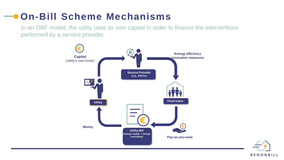### **On-Bill Scheme Mechanisms**

In an OBF model, the utility uses its own capital in order to finance the interventions performed by a service provider



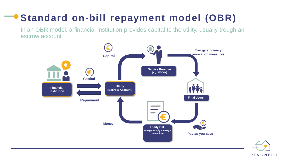## **Standard on-bill repayment model (OBR)**

In an OBR model, a financial institution provides capital to the utility, usually trough an escrow account

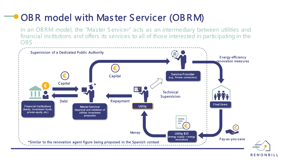### OBR model with Master Servicer (OBRM)

In an OBRM model, the "Master Servicer" acts as an intermediary between utilities and financial institutions and offers its services to all of those interested in participating in the OBS

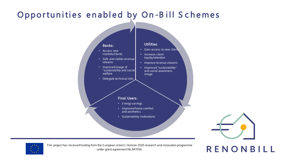#### Opportunities enabled by On-Bill Schemes





This project has received funding from the E uropean Union's Horizon 2020 research and innovation programme under grant agreement No 847056.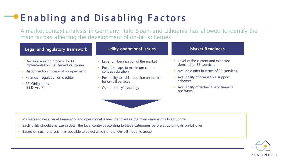## Enabling and Disabling Factors

A market context analysis in Germany, Italy, Spain and Lithuania has allowed to identify the main factors affecting the development of on-bill schemes

| Legal and regulatory framework                                                                                  | Utility operational issues                                                                    | <b>Market Readiness</b>                                                                                |
|-----------------------------------------------------------------------------------------------------------------|-----------------------------------------------------------------------------------------------|--------------------------------------------------------------------------------------------------------|
| Decision making process for EE<br>implementation, i.e. tenant vs. owner<br>Disconnection in case of non-payment | Level of liberalization of the market<br>Possible caps to maximum client<br>contract duration | Level of the current and expected<br>demand for EE services<br>Available offer in terms of EE services |
| Financial regulation on creditor<br><b>EE</b> Obligations<br>(EED Art. 7)                                       | Possibility to add a position on the bill<br>for on-bill services                             | Availability of compatible support<br>schemes                                                          |
|                                                                                                                 | Overall Utility's strategy                                                                    | Availability of technical and financial<br>operators                                                   |
|                                                                                                                 |                                                                                               |                                                                                                        |

- Market readiness, legal framework and operational issues identified as the main dimensions to scrutinize
- Each utility should analyze in detail the local context according to these categories before structuring its on-bill offer
- Based on such analysis, it is possible to select which kind of On-bill model to adopt

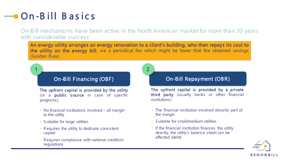## **On-Bill Basics**

1

On-Bill mechanisms have been active in the North American market for more than 30 years with considerable success

An energy utility arranges an energy renovation to a client's building, who then repays its cost to the utility on the energy bill, via a periodical fee which might be lower that the obtained savings (Golden Rule).

2

#### On-Bill Financing (OBF)

The upfront capital is provided by the utility (or a **public source** in case of specific programs).

- No financial institutions involved all margin to the utility
- Suitable for large utilities
- Requires the utility to dedicate consistent capital
- Requires compliance with national credit(or) regulations

#### On-Bill Repayment (OBR)

The upfront capital is provided by a private third party (usually banks or other financial institutions)

- The financial institution involved absorbs part of the margin
- S uitable for small/medium utilities
- If the financial institution finances the utility directly, the utility's balance sheet can be affected (debt)

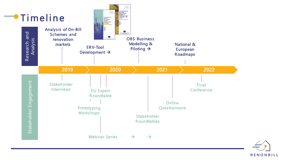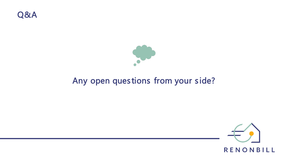



#### Any open questions from your side?

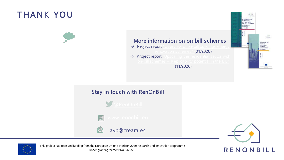#### T HANK YOU



#### More information on on-bill schemes

- > Project report "Overview of on-bill buildings energy [renovation schemes"](https://www.renonbill.eu/knowledge-sharing/overview-of-on-bill-buildings-energy-renovation-schemes?briefings=on&brochures=on&factsheets=on&infographics=on&language=en&reports=on&scientificpapers=on&tools=on&page=1) (01/2020)
- Project report ["Upscaling the residential sector with](https://www.renonbill.eu/knowledge-sharing/upscaling-the-residential-sector-with-on-bill-schemes-replicability-potential-in-the-eu?briefings=on&brochures=on&factsheets=on&infographics=on&language=en&reports=on&scientificpapers=on&tools=on&page=1) on-bill schemes – Replicability potential in the E U" (11/2020)









avp@creara.es





This project has received funding from the E uropean Union's Horizon 2020 research and innovation programme under grant agreement No 847056.